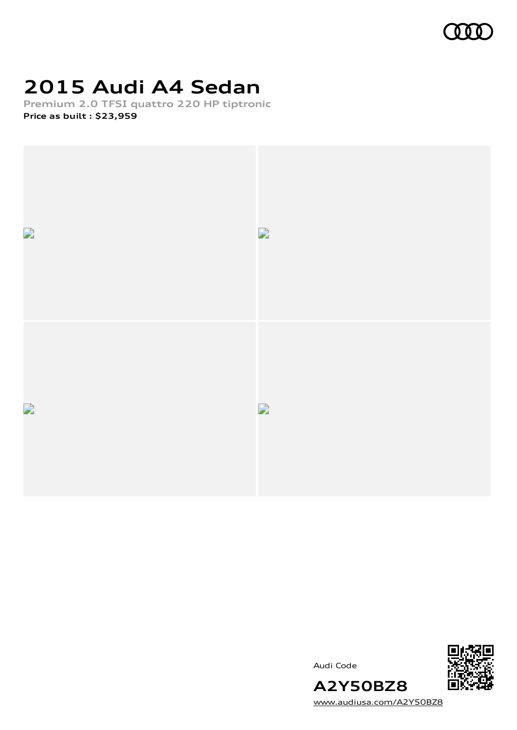

## **2015 Audi A4 Sedan**

**Premium 2.0 TFSI quattro 220 HP tiptronic Price as built [:](#page-9-0) \$23,959**





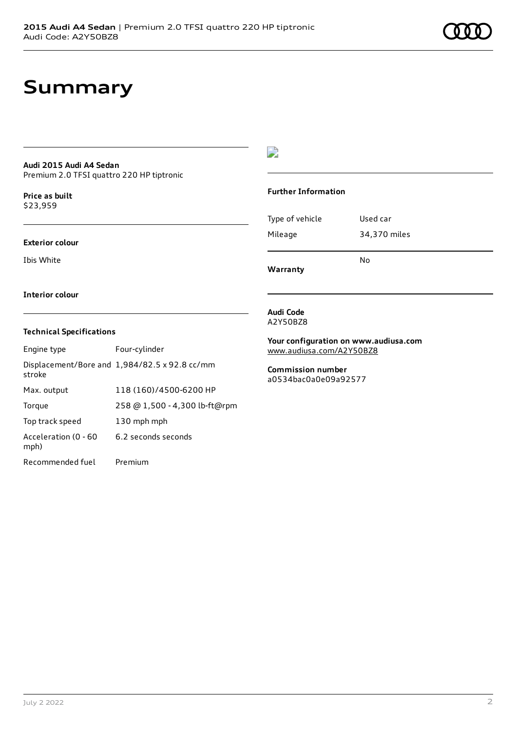### **Summary**

#### **Audi 2015 Audi A4 Sedan** Premium 2.0 TFSI quattro 220 HP tiptronic

**Price as buil[t](#page-9-0)** \$23,959

#### **Exterior colour**

Ibis White

 $\overline{\phantom{a}}$ 

#### **Further Information**

|                 | N٥           |
|-----------------|--------------|
| Mileage         | 34,370 miles |
| Type of vehicle | Used car     |

**Warranty**

#### **Interior colour**

#### **Technical Specifications**

| Engine type                  | Four-cylinder                                 |
|------------------------------|-----------------------------------------------|
| stroke                       | Displacement/Bore and 1,984/82.5 x 92.8 cc/mm |
| Max. output                  | 118 (160)/4500-6200 HP                        |
| Torque                       | 258 @ 1,500 - 4,300 lb-ft@rpm                 |
| Top track speed              | 130 mph mph                                   |
| Acceleration (0 - 60<br>mph) | 6.2 seconds seconds                           |
| Recommended fuel             | Premium                                       |

#### **Audi Code** A2Y50BZ8

**Your configuration on www.audiusa.com** [www.audiusa.com/A2Y50BZ8](https://www.audiusa.com/A2Y50BZ8)

#### **Commission number** a0534bac0a0e09a92577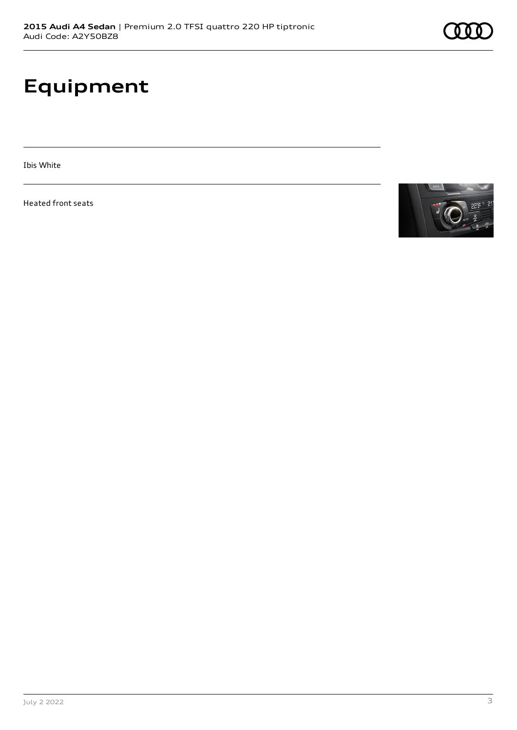## **Equipment**

Ibis White

Heated front seats

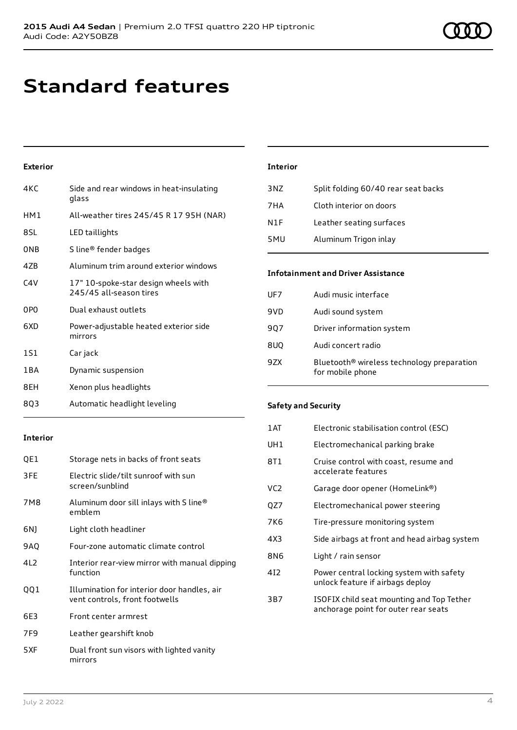### **Standard features**

### **Exterior**

| 4KC             | Side and rear windows in heat-insulating<br>glass               |
|-----------------|-----------------------------------------------------------------|
| HM1             | All-weather tires 245/45 R 17 95H (NAR)                         |
| 8SL             | LED taillights                                                  |
| ONB             | S line® fender badges                                           |
| 47B             | Aluminum trim around exterior windows                           |
| CAV             | 17" 10-spoke-star design wheels with<br>245/45 all-season tires |
| 0P <sub>0</sub> | Dual exhaust outlets                                            |
| 6XD             | Power-adjustable heated exterior side<br>mirrors                |
| 1S1             | Car jack                                                        |
| 1 B A           | Dynamic suspension                                              |
| 8EH             | Xenon plus headlights                                           |

8Q3 Automatic headlight leveling

### **Interior** 3NZ Split folding 60/40 rear seat backs 7HA Cloth interior on doors N1F Leather seating surfaces 5MU Aluminum Trigon inlay

#### **Infotainment and Driver Assistance**

| UF7 | Audi music interface                                                       |
|-----|----------------------------------------------------------------------------|
| 9VD | Audi sound system                                                          |
| 907 | Driver information system                                                  |
| 8UQ | Audi concert radio                                                         |
| 9ZX | Bluetooth <sup>®</sup> wireless technology preparation<br>for mobile phone |

### **Safety and Security**

| 1AT             | Electronic stabilisation control (ESC)                                            |
|-----------------|-----------------------------------------------------------------------------------|
| UH <sub>1</sub> | Electromechanical parking brake                                                   |
| 8T1             | Cruise control with coast, resume and<br>accelerate features                      |
| VC <sub>2</sub> | Garage door opener (HomeLink®)                                                    |
| QZ7             | Electromechanical power steering                                                  |
| 7K6             | Tire-pressure monitoring system                                                   |
| 4X3             | Side airbags at front and head airbag system                                      |
| 8N6             | Light / rain sensor                                                               |
| 412             | Power central locking system with safety<br>unlock feature if airbags deploy      |
| 3B7             | ISOFIX child seat mounting and Top Tether<br>anchorage point for outer rear seats |

### **Interior**

| QE1  | Storage nets in backs of front seats                                          |
|------|-------------------------------------------------------------------------------|
| 3FE  | Electric slide/tilt sunroof with sun<br>screen/sunblind                       |
| 7M8  | Aluminum door sill inlays with S line®<br>emblem                              |
| 6N)  | Light cloth headliner                                                         |
| 9AQ  | Four-zone automatic climate control                                           |
| 412  | Interior rear-view mirror with manual dipping<br>function                     |
| QQ 1 | Illumination for interior door handles, air<br>vent controls, front footwells |
| 6E3  | Front center armrest                                                          |
| 7F9  | Leather gearshift knob                                                        |
| 5XF  | Dual front sun visors with lighted vanity<br>mirrors                          |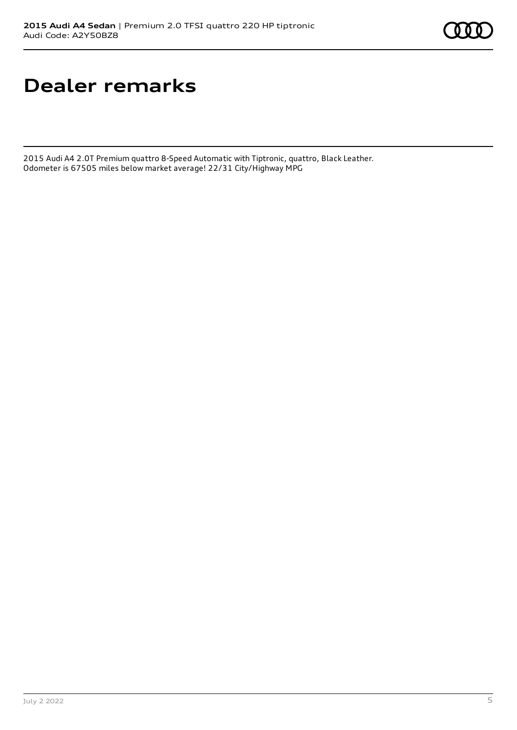### **Dealer remarks**

2015 Audi A4 2.0T Premium quattro 8-Speed Automatic with Tiptronic, quattro, Black Leather. Odometer is 67505 miles below market average! 22/31 City/Highway MPG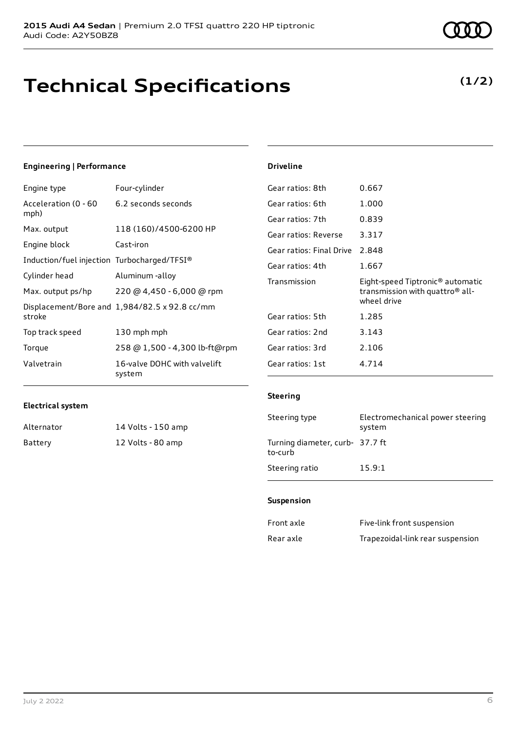### **Technical Specifications**

### **(1/2)**

### **Engineering | Performance**

| Engine type                                 | Four-cylinder                                 |
|---------------------------------------------|-----------------------------------------------|
| Acceleration (0 - 60<br>mph)                | 6.2 seconds seconds                           |
| Max. output                                 | 118 (160)/4500-6200 HP                        |
| Engine block                                | Cast-iron                                     |
| Induction/fuel injection Turbocharged/TFSI® |                                               |
| Cylinder head                               | Aluminum -alloy                               |
| Max. output ps/hp                           | 220 @ 4,450 - 6,000 @ rpm                     |
| stroke                                      | Displacement/Bore and 1,984/82.5 x 92.8 cc/mm |
| Top track speed                             | 130 mph mph                                   |
| Torque                                      | 258 @ 1,500 - 4,300 lb-ft@rpm                 |
| Valvetrain                                  | 16-valve DOHC with valvelift<br>system        |

| Gear ratios: 8th         | 0.667                                                                                                      |
|--------------------------|------------------------------------------------------------------------------------------------------------|
| Gear ratios: 6th         | 1.000                                                                                                      |
| Gear ratios: 7th         | 0.839                                                                                                      |
| Gear ratios: Reverse     | 3.317                                                                                                      |
| Gear ratios: Final Drive | 2.848                                                                                                      |
| Gear ratios: 4th         | 1.667                                                                                                      |
| Transmission             | Eight-speed Tiptronic <sup>®</sup> automatic<br>transmission with quattro <sup>®</sup> all-<br>wheel drive |
| Gear ratios: 5th         | 1.285                                                                                                      |
| Gear ratios: 2nd         | 3.143                                                                                                      |
| Gear ratios: 3rd         | 2.106                                                                                                      |
| Gear ratios: 1st         | 4.714                                                                                                      |

#### **Electrical system**

| Alternator | 14 Volts - 150 amp |
|------------|--------------------|
| Battery    | 12 Volts - 80 amp  |

### **Steering**

**Driveline**

| Steering type                              | Electromechanical power steering<br>system |
|--------------------------------------------|--------------------------------------------|
| Turning diameter, curb- 37.7 ft<br>to-curb |                                            |
| Steering ratio                             | 15.9:1                                     |

#### **Suspension**

| Front axle | Five-link front suspension       |
|------------|----------------------------------|
| Rear axle  | Trapezoidal-link rear suspension |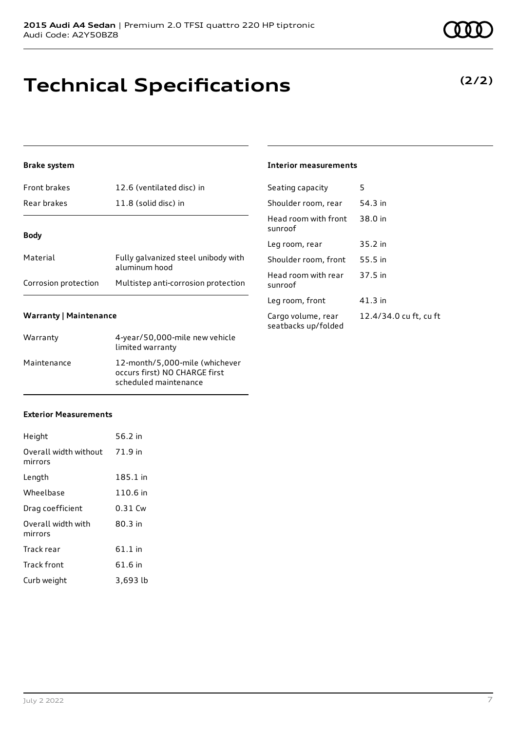# **Technical Specifications**

### **Brake system**

| <b>Front brakes</b>  | 12.6 (ventilated disc) in                            |
|----------------------|------------------------------------------------------|
| Rear brakes          | 11.8 (solid disc) in                                 |
| <b>Body</b>          |                                                      |
| Material             | Fully galvanized steel unibody with<br>aluminum hood |
| Corrosion protection | Multistep anti-corrosion protection                  |

### **Warranty | Maintenance**

| Warranty    | 4-year/50,000-mile new vehicle<br>limited warranty                                       |
|-------------|------------------------------------------------------------------------------------------|
| Maintenance | 12-month/5,000-mile (whichever<br>occurs first) NO CHARGE first<br>scheduled maintenance |

### **Exterior Measurements**

| Height                           | 56.2 in   |
|----------------------------------|-----------|
| Overall width without<br>mirrors | 71.9 in   |
| Length                           | 185.1 in  |
| Wheelbase                        | 110.6 in  |
| Drag coefficient                 | 0.31 Cw   |
| Overall width with<br>mirrors    | 80.3 in   |
| Track rear                       | $61.1$ in |
| Track front                      | 61.6 in   |
| Curb weight                      | 3,693 lb  |

### **Interior measurements**

| Seating capacity                          | 5                      |
|-------------------------------------------|------------------------|
| Shoulder room, rear                       | 54.3 in                |
| Head room with front<br>sunroof           | 38.0 in                |
| Leg room, rear                            | 35.2 in                |
| Shoulder room, front                      | 55.5 in                |
| Head room with rear<br>sunroof            | 37.5 in                |
| Leg room, front                           | 41.3 in                |
| Cargo volume, rear<br>seatbacks up/folded | 12.4/34.0 cu ft, cu ft |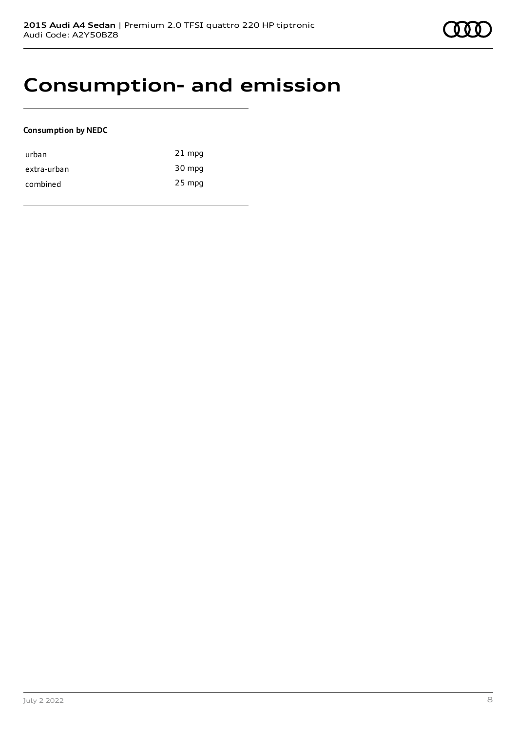### **Consumption- and emission**

### **Consumption by NEDC**

| urban       | $21$ mpg |
|-------------|----------|
| extra-urban | 30 mpg   |
| combined    | $25$ mpg |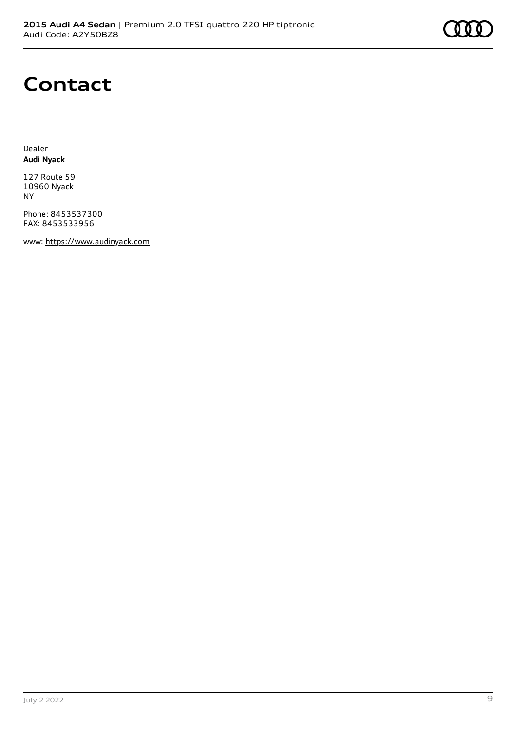### **Contact**

Dealer **Audi Nyack**

127 Route 59 10960 Nyack NY

Phone: 8453537300 FAX: 8453533956

www: [https://www.audinyack.com](https://www.audinyack.com/)